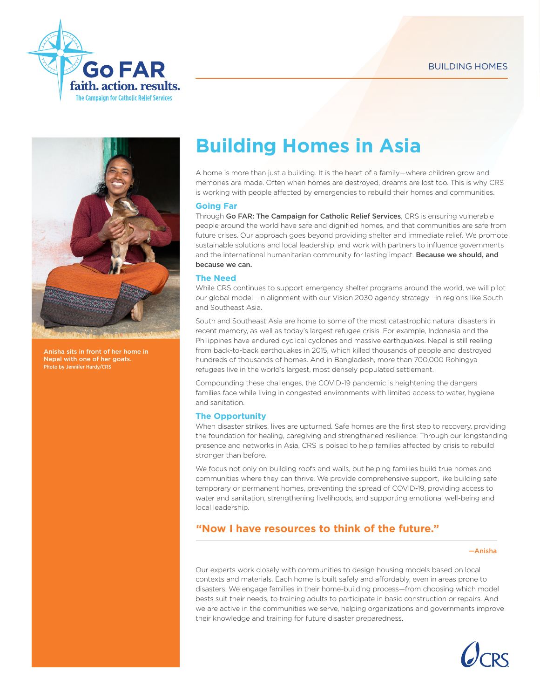



Anisha sits in front of her home in Nepal with one of her goats. Photo by Jennifer Hardy/CRS

# **Building Homes in Asia**

A home is more than just a building. It is the heart of a family—where children grow and memories are made. Often when homes are destroyed, dreams are lost too. This is why CRS is working with people affected by emergencies to rebuild their homes and communities.

# **Going Far**

Through Go FAR: The Campaign for Catholic Relief Services, CRS is ensuring vulnerable people around the world have safe and dignified homes, and that communities are safe from future crises. Our approach goes beyond providing shelter and immediate relief. We promote sustainable solutions and local leadership, and work with partners to influence governments and the international humanitarian community for lasting impact. Because we should, and because we can.

# **The Need**

While CRS continues to support emergency shelter programs around the world, we will pilot our global model—in alignment with our Vision 2030 agency strategy—in regions like South and Southeast Asia.

South and Southeast Asia are home to some of the most catastrophic natural disasters in recent memory, as well as today's largest refugee crisis. For example, Indonesia and the Philippines have endured cyclical cyclones and massive earthquakes. Nepal is still reeling from back-to-back earthquakes in 2015, which killed thousands of people and destroyed hundreds of thousands of homes. And in Bangladesh, more than 700,000 Rohingya refugees live in the world's largest, most densely populated settlement.

Compounding these challenges, the COVID-19 pandemic is heightening the dangers families face while living in congested environments with limited access to water, hygiene and sanitation.

# **The Opportunity**

When disaster strikes, lives are upturned. Safe homes are the first step to recovery, providing the foundation for healing, caregiving and strengthened resilience. Through our longstanding presence and networks in Asia, CRS is poised to help families affected by crisis to rebuild stronger than before.

We focus not only on building roofs and walls, but helping families build true homes and communities where they can thrive. We provide comprehensive support, like building safe temporary or permanent homes, preventing the spread of COVID-19, providing access to water and sanitation, strengthening livelihoods, and supporting emotional well-being and local leadership.

# **"Now I have resources to think of the future."**

#### —Anisha

Our experts work closely with communities to design housing models based on local contexts and materials. Each home is built safely and affordably, even in areas prone to disasters. We engage families in their home-building process—from choosing which model bests suit their needs, to training adults to participate in basic construction or repairs. And we are active in the communities we serve, helping organizations and governments improve their knowledge and training for future disaster preparedness.